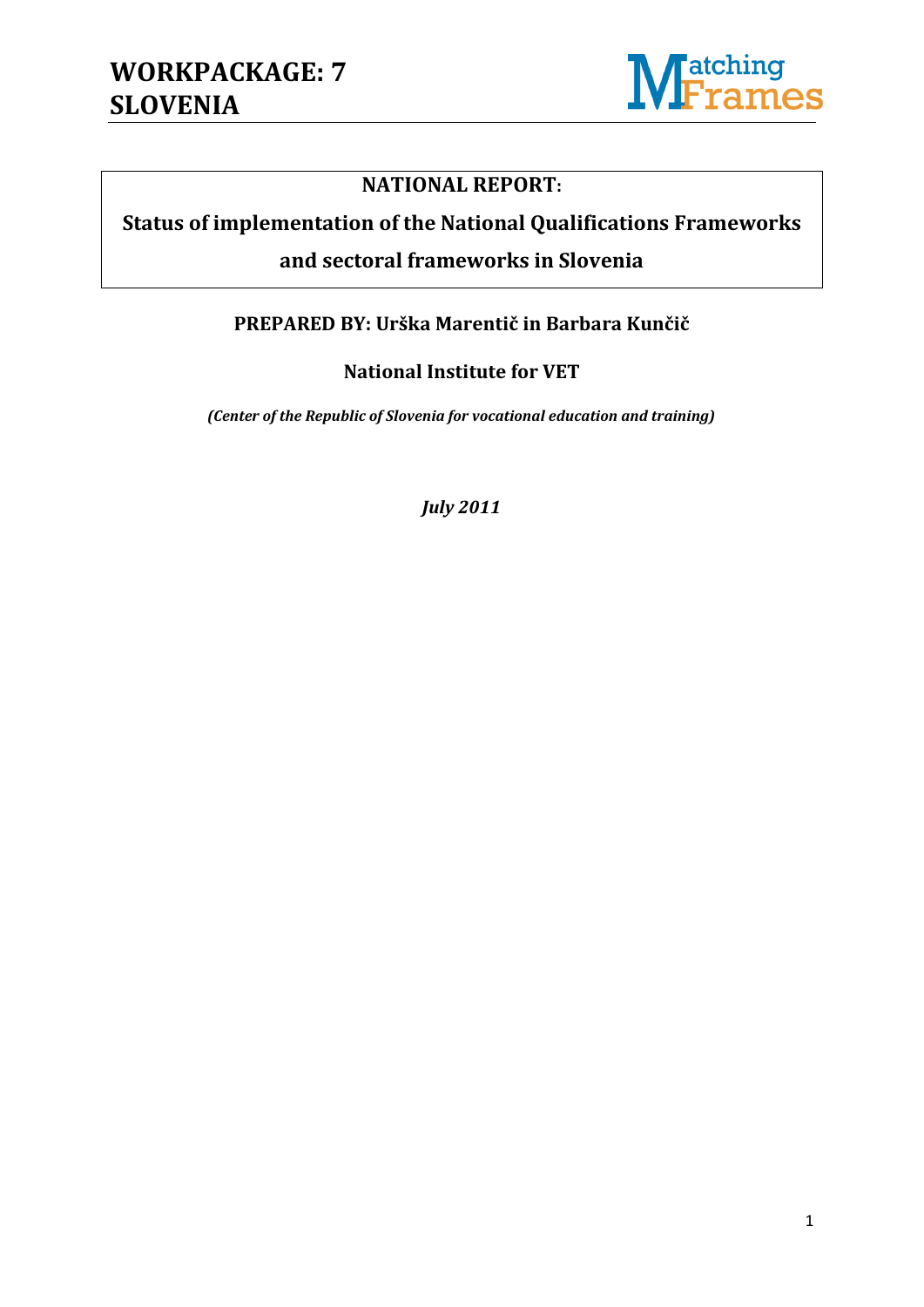

#### **NATIONAL REPORT:**

# **Status of implementation of the National Qualifications Frameworks**

#### **and sectoral frameworks in Slovenia**

#### **PREPARED BY: Urška Marentič in Barbara Kunčič**

#### **National Institute for VET**

*(Center of the Republic of Slovenia for vocational education and training)*

*July 2011*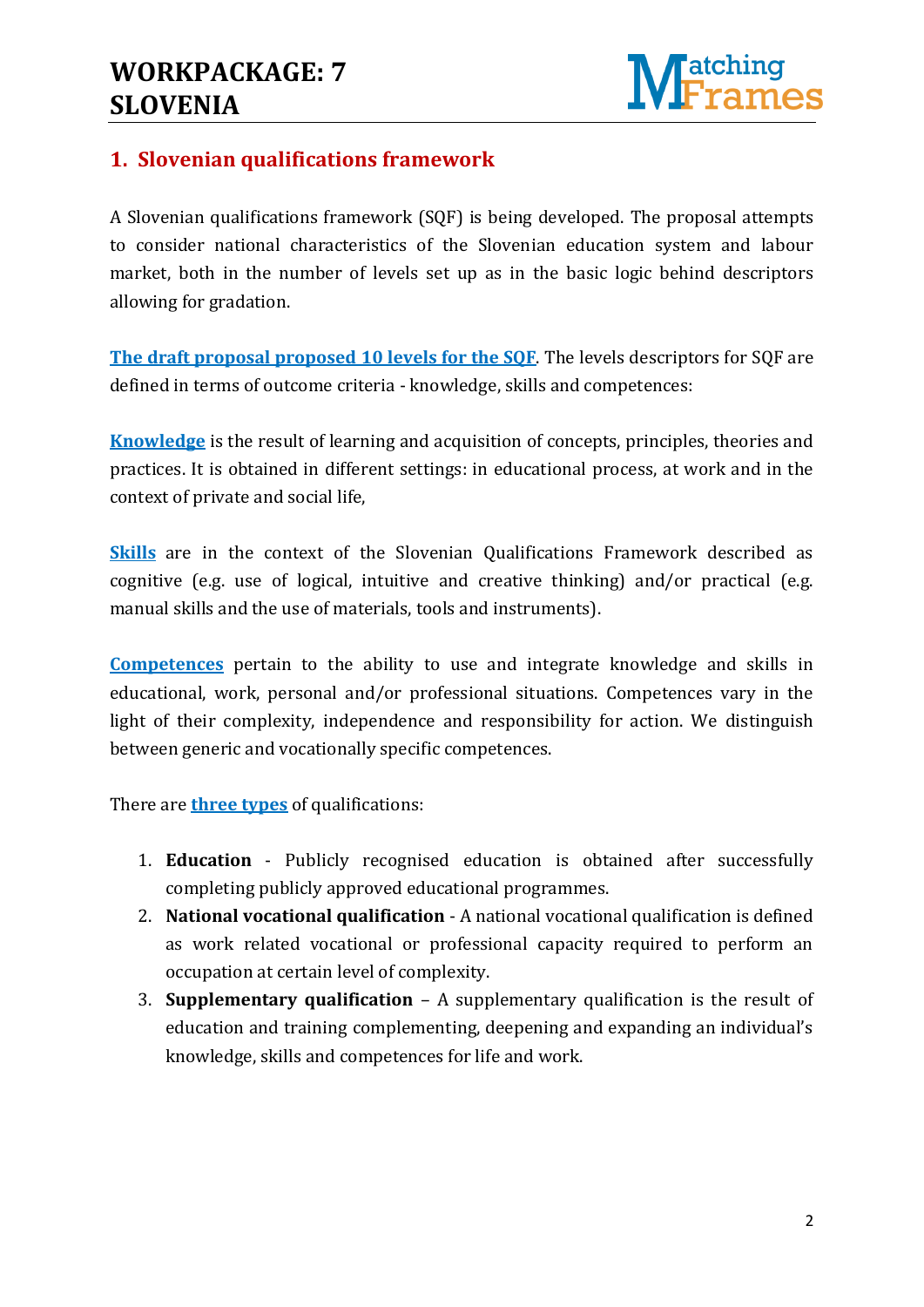### **WORKPACKAGE: 7 SLOVENIA**



#### **1. Slovenian qualifications framework**

A Slovenian qualifications framework (SQF) is being developed. The proposal attempts to consider national characteristics of the Slovenian education system and labour market, both in the number of levels set up as in the basic logic behind descriptors allowing for gradation.

**The draft proposal proposed 10 levels for the SQF**. The levels descriptors for SQF are defined in terms of outcome criteria - knowledge, skills and competences:

**Knowledge** is the result of learning and acquisition of concepts, principles, theories and practices. It is obtained in different settings: in educational process, at work and in the context of private and social life,

**Skills** are in the context of the Slovenian Qualifications Framework described as cognitive (e.g. use of logical, intuitive and creative thinking) and/or practical (e.g. manual skills and the use of materials, tools and instruments).

**Competences** pertain to the ability to use and integrate knowledge and skills in educational, work, personal and/or professional situations. Competences vary in the light of their complexity, independence and responsibility for action. We distinguish between generic and vocationally specific competences.

There are **three types** of qualifications:

- 1. **Education** Publicly recognised education is obtained after successfully completing publicly approved educational programmes.
- 2. **National vocational qualification** A national vocational qualification is defined as work related vocational or professional capacity required to perform an occupation at certain level of complexity.
- 3. **Supplementary qualification** A supplementary qualification is the result of education and training complementing, deepening and expanding an individual's knowledge, skills and competences for life and work.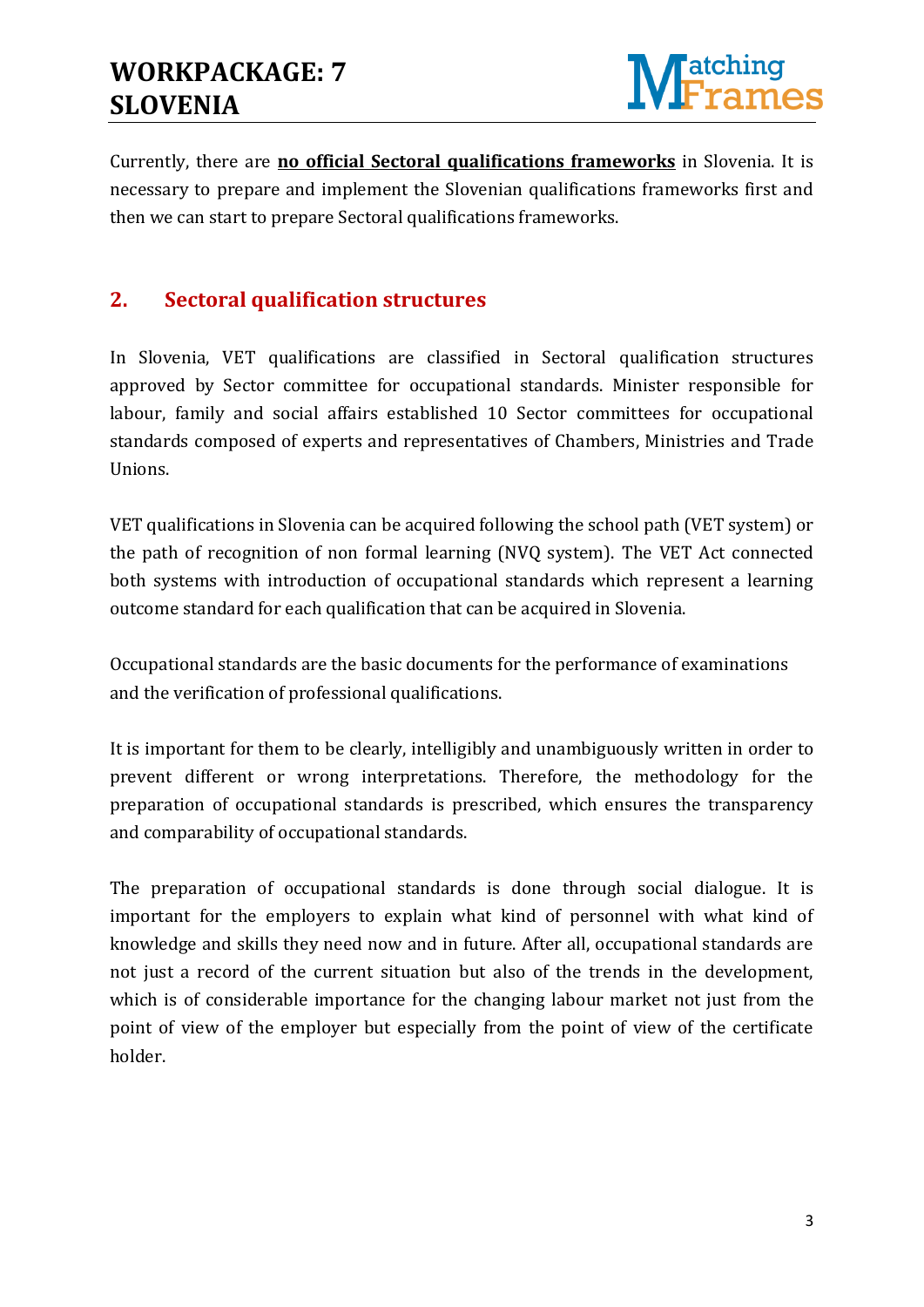

Currently, there are **no official Sectoral qualifications frameworks** in Slovenia. It is necessary to prepare and implement the Slovenian qualifications frameworks first and then we can start to prepare Sectoral qualifications frameworks.

#### **2. Sectoral qualification structures**

In Slovenia, VET qualifications are classified in Sectoral qualification structures approved by Sector committee for occupational standards. Minister responsible for labour, family and social affairs established 10 Sector committees for occupational standards composed of experts and representatives of Chambers, Ministries and Trade Unions.

VET qualifications in Slovenia can be acquired following the school path (VET system) or the path of recognition of non formal learning (NVQ system). The VET Act connected both systems with introduction of occupational standards which represent a learning outcome standard for each qualification that can be acquired in Slovenia.

Occupational standards are the basic documents for the performance of examinations and the verification of professional qualifications.

It is important for them to be clearly, intelligibly and unambiguously written in order to prevent different or wrong interpretations. Therefore, the methodology for the preparation of occupational standards is prescribed, which ensures the transparency and comparability of occupational standards.

The preparation of occupational standards is done through social dialogue. It is important for the employers to explain what kind of personnel with what kind of knowledge and skills they need now and in future. After all, occupational standards are not just a record of the current situation but also of the trends in the development, which is of considerable importance for the changing labour market not just from the point of view of the employer but especially from the point of view of the certificate holder.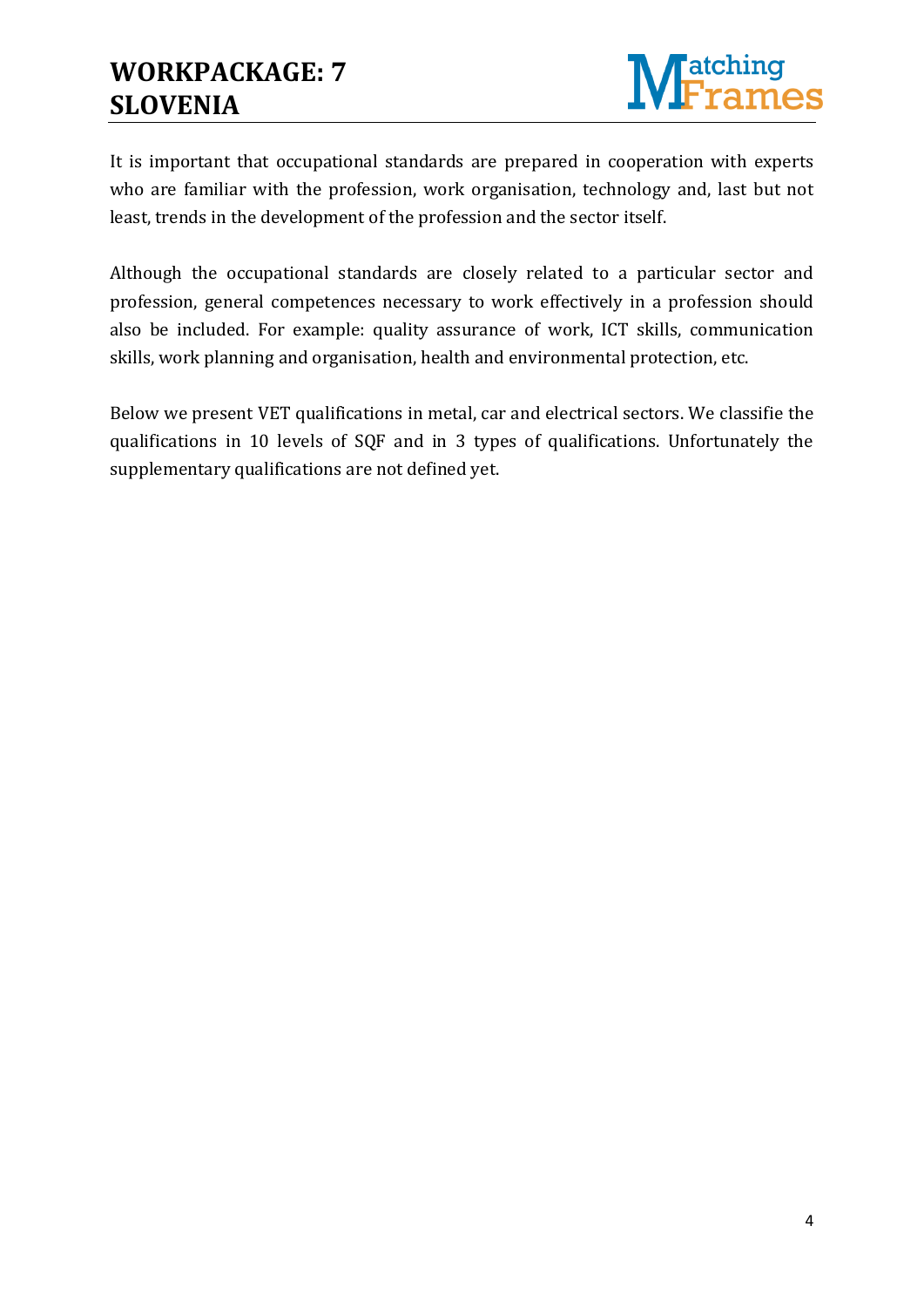

It is important that occupational standards are prepared in cooperation with experts who are familiar with the profession, work organisation, technology and, last but not least, trends in the development of the profession and the sector itself.

Although the occupational standards are closely related to a particular sector and profession, general competences necessary to work effectively in a profession should also be included. For example: quality assurance of work, ICT skills, communication skills, work planning and organisation, health and environmental protection, etc.

Below we present VET qualifications in metal, car and electrical sectors. We classifie the qualifications in 10 levels of SQF and in 3 types of qualifications. Unfortunately the supplementary qualifications are not defined yet.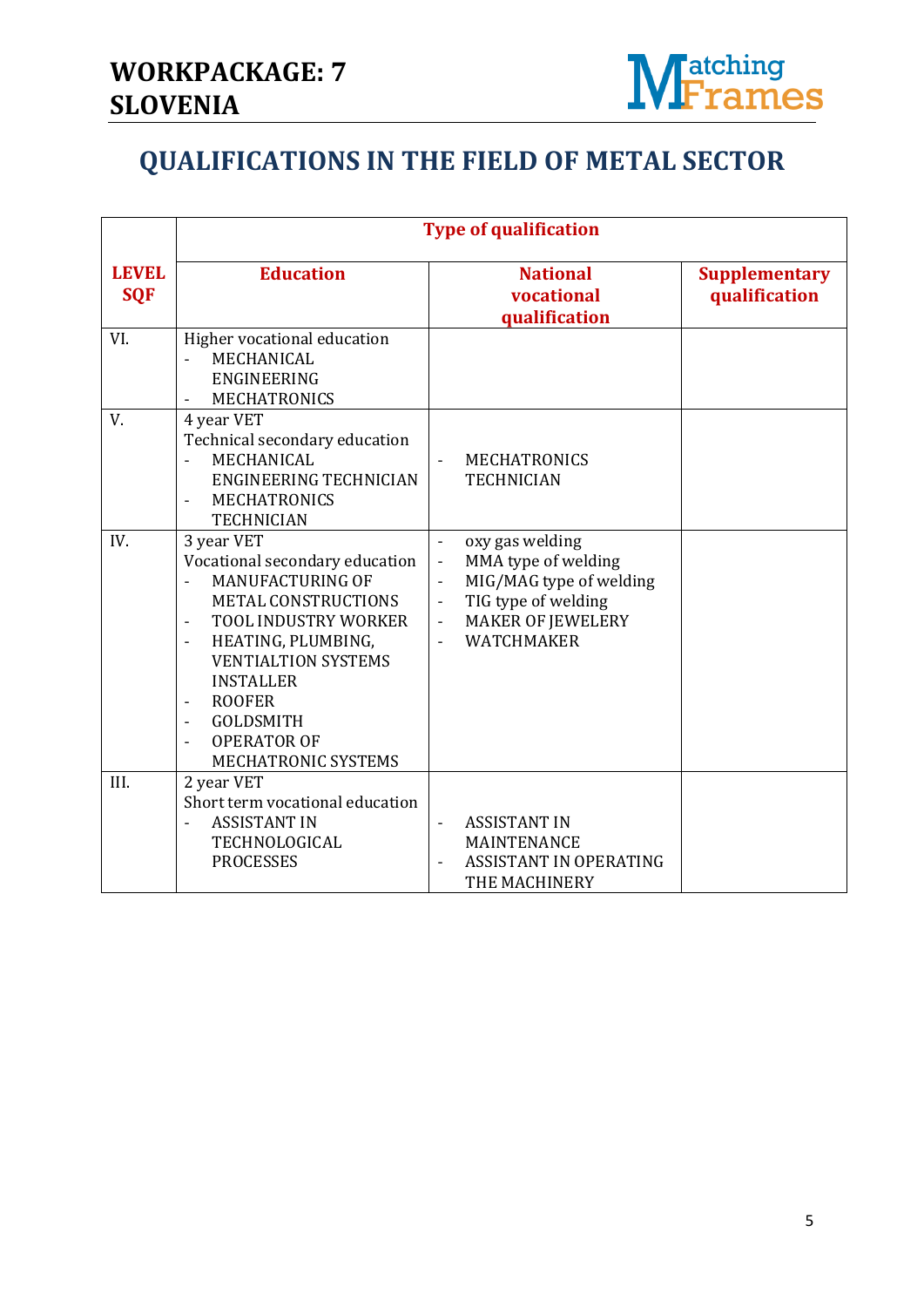

### **QUALIFICATIONS IN THE FIELD OF METAL SECTOR**

|                            | <b>Type of qualification</b>                                                                                                                                                                                                                                                                                                                                                                         |                                                                                                                                                                                                                                                                                   |                                       |
|----------------------------|------------------------------------------------------------------------------------------------------------------------------------------------------------------------------------------------------------------------------------------------------------------------------------------------------------------------------------------------------------------------------------------------------|-----------------------------------------------------------------------------------------------------------------------------------------------------------------------------------------------------------------------------------------------------------------------------------|---------------------------------------|
| <b>LEVEL</b><br><b>SQF</b> | <b>Education</b>                                                                                                                                                                                                                                                                                                                                                                                     | <b>National</b><br>vocational<br>qualification                                                                                                                                                                                                                                    | <b>Supplementary</b><br>qualification |
| VI.                        | Higher vocational education<br>MECHANICAL<br><b>ENGINEERING</b><br><b>MECHATRONICS</b><br>$\overline{\phantom{a}}$                                                                                                                                                                                                                                                                                   |                                                                                                                                                                                                                                                                                   |                                       |
| V.                         | 4 year VET<br>Technical secondary education<br>MECHANICAL<br><b>ENGINEERING TECHNICIAN</b><br><b>MECHATRONICS</b><br><b>TECHNICIAN</b>                                                                                                                                                                                                                                                               | <b>MECHATRONICS</b><br><b>TECHNICIAN</b>                                                                                                                                                                                                                                          |                                       |
| IV.                        | 3 year VET<br>Vocational secondary education<br><b>MANUFACTURING OF</b><br><b>METAL CONSTRUCTIONS</b><br><b>TOOL INDUSTRY WORKER</b><br>$\overline{\phantom{a}}$<br>HEATING, PLUMBING,<br>$\overline{\phantom{a}}$<br><b>VENTIALTION SYSTEMS</b><br><b>INSTALLER</b><br><b>ROOFER</b><br>$\overline{a}$<br><b>GOLDSMITH</b><br>$\overline{\phantom{a}}$<br><b>OPERATOR OF</b><br>MECHATRONIC SYSTEMS | oxy gas welding<br>$\overline{\phantom{m}}$<br>MMA type of welding<br>$\frac{1}{2}$<br>MIG/MAG type of welding<br>$\overline{\phantom{0}}$<br>TIG type of welding<br>$\blacksquare$<br><b>MAKER OF JEWELERY</b><br>$\overline{\phantom{a}}$<br><b>WATCHMAKER</b><br>$\frac{1}{2}$ |                                       |
| III.                       | 2 year VET<br>Short term vocational education<br><b>ASSISTANT IN</b><br>TECHNOLOGICAL<br><b>PROCESSES</b>                                                                                                                                                                                                                                                                                            | <b>ASSISTANT IN</b><br>$\blacksquare$<br>MAINTENANCE<br><b>ASSISTANT IN OPERATING</b><br>THE MACHINERY                                                                                                                                                                            |                                       |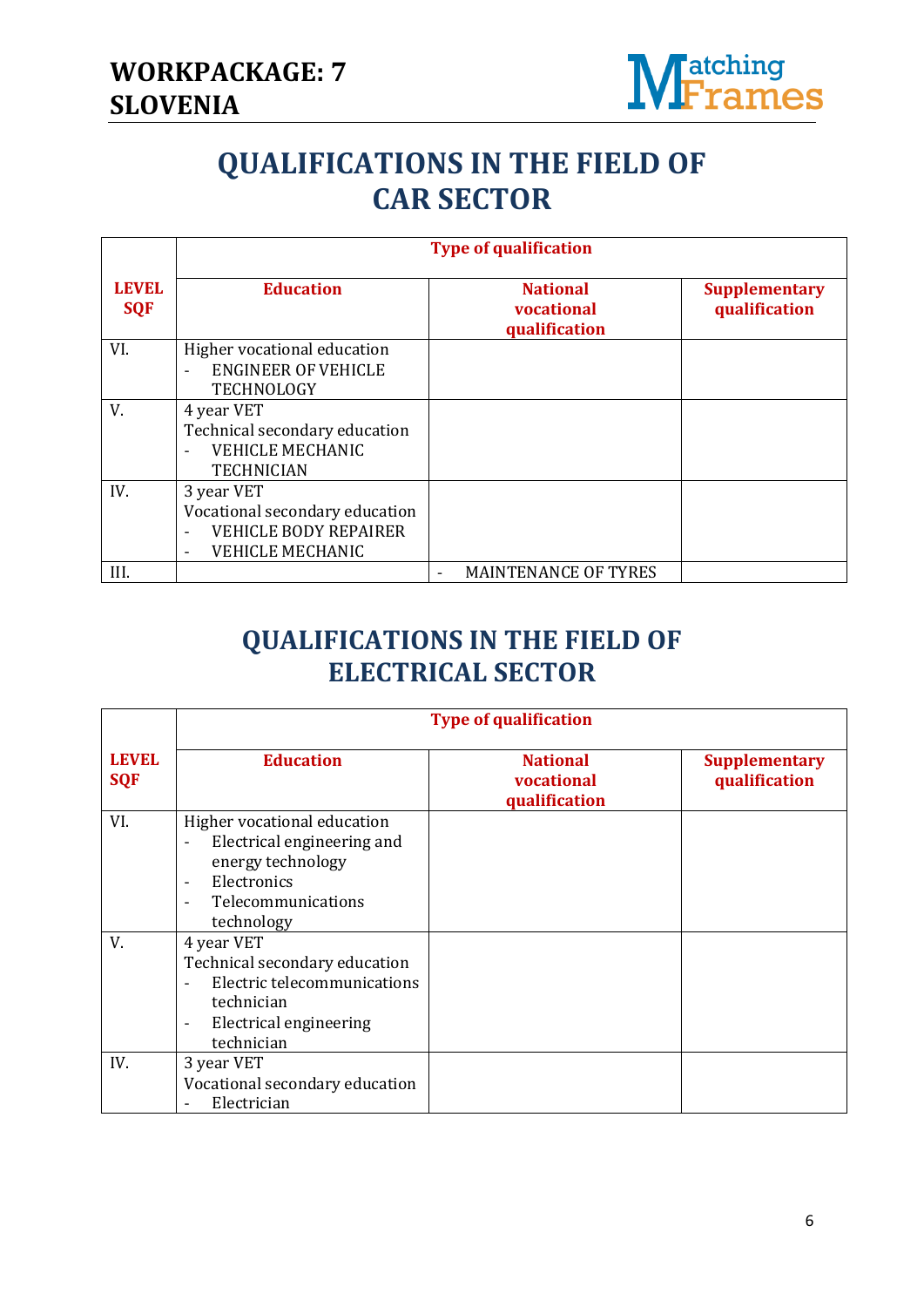

# **QUALIFICATIONS IN THE FIELD OF CAR SECTOR**

|                            | <b>Type of qualification</b>                                                                                                        |                                                |                                       |  |
|----------------------------|-------------------------------------------------------------------------------------------------------------------------------------|------------------------------------------------|---------------------------------------|--|
| <b>LEVEL</b><br><b>SQF</b> | <b>Education</b>                                                                                                                    | <b>National</b><br>vocational<br>qualification | <b>Supplementary</b><br>qualification |  |
| VI.                        | Higher vocational education<br><b>ENGINEER OF VEHICLE</b><br>$\overline{a}$<br><b>TECHNOLOGY</b>                                    |                                                |                                       |  |
| V.                         | 4 year VET<br>Technical secondary education<br><b>VEHICLE MECHANIC</b><br><b>TECHNICIAN</b>                                         |                                                |                                       |  |
| IV.                        | 3 year VET<br>Vocational secondary education<br><b>VEHICLE BODY REPAIRER</b><br>$\overline{\phantom{0}}$<br><b>VEHICLE MECHANIC</b> |                                                |                                       |  |
| III.                       |                                                                                                                                     | <b>MAINTENANCE OF TYRES</b>                    |                                       |  |

### **QUALIFICATIONS IN THE FIELD OF ELECTRICAL SECTOR**

|                            | <b>Type of qualification</b>                                                                                                                                                             |                                                |                                       |  |
|----------------------------|------------------------------------------------------------------------------------------------------------------------------------------------------------------------------------------|------------------------------------------------|---------------------------------------|--|
| <b>LEVEL</b><br><b>SQF</b> | <b>Education</b>                                                                                                                                                                         | <b>National</b><br>vocational<br>qualification | <b>Supplementary</b><br>qualification |  |
| VI.                        | Higher vocational education<br>Electrical engineering and<br>$\overline{a}$<br>energy technology<br>Electronics<br>$\overline{\phantom{a}}$<br>Telecommunications<br>technology          |                                                |                                       |  |
| V.                         | 4 year VET<br>Technical secondary education<br>Electric telecommunications<br>$\overline{\phantom{a}}$<br>technician<br><b>Electrical engineering</b><br>$\qquad \qquad -$<br>technician |                                                |                                       |  |
| IV.                        | 3 year VET<br>Vocational secondary education<br>Electrician                                                                                                                              |                                                |                                       |  |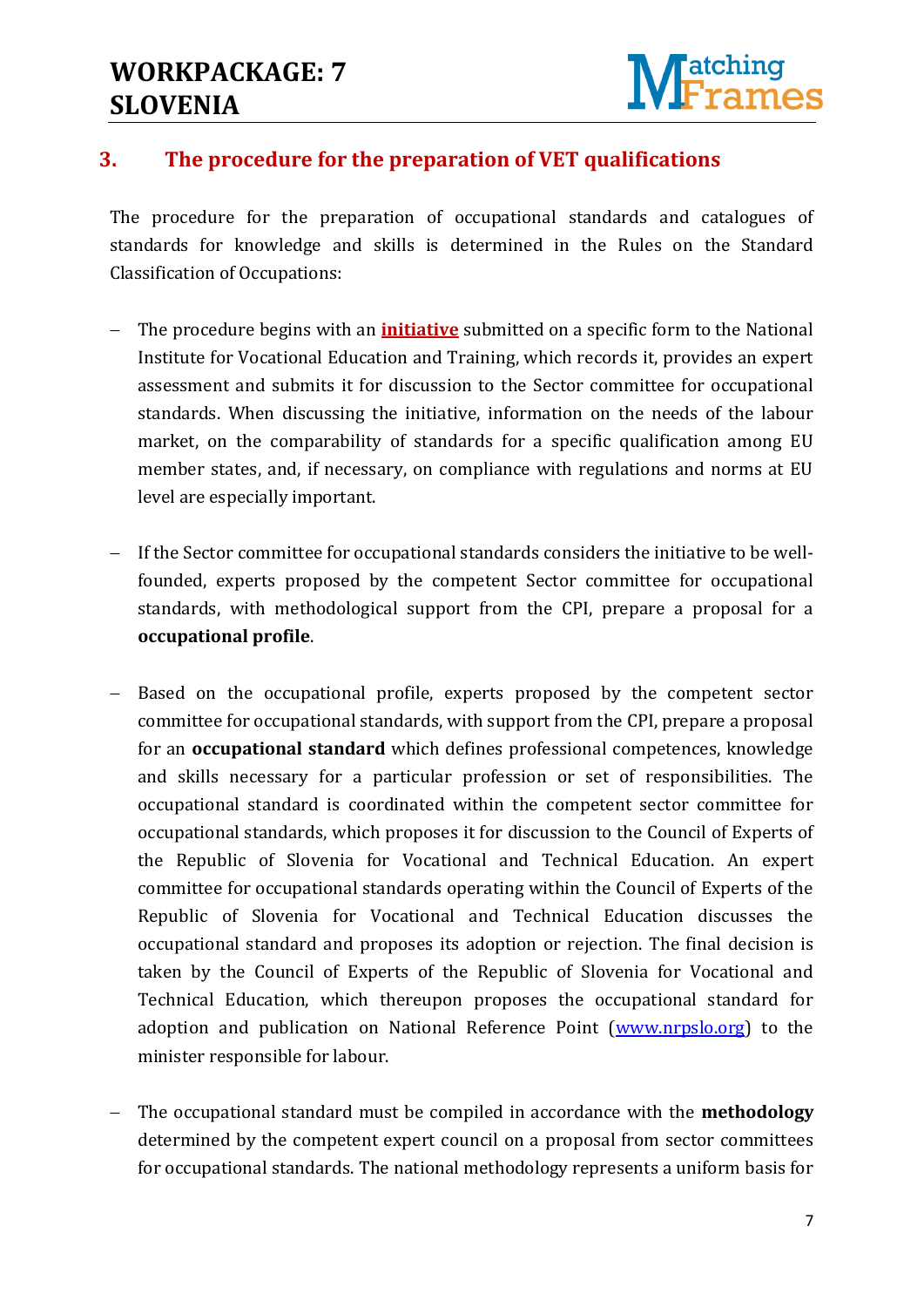### **WORKPACKAGE: 7 SLOVENIA**



#### **3. The procedure for the preparation of VET qualifications**

The procedure for the preparation of occupational standards and catalogues of standards for knowledge and skills is determined in the Rules on the Standard Classification of Occupations:

- The procedure begins with an **initiative** submitted on a specific form to the National Institute for Vocational Education and Training, which records it, provides an expert assessment and submits it for discussion to the Sector committee for occupational standards. When discussing the initiative, information on the needs of the labour market, on the comparability of standards for a specific qualification among EU member states, and, if necessary, on compliance with regulations and norms at EU level are especially important.
- If the Sector committee for occupational standards considers the initiative to be wellfounded, experts proposed by the competent Sector committee for occupational standards, with methodological support from the CPI, prepare a proposal for a **occupational profile**.
- Based on the occupational profile, experts proposed by the competent sector committee for occupational standards, with support from the CPI, prepare a proposal for an **occupational standard** which defines professional competences, knowledge and skills necessary for a particular profession or set of responsibilities. The occupational standard is coordinated within the competent sector committee for occupational standards, which proposes it for discussion to the Council of Experts of the Republic of Slovenia for Vocational and Technical Education. An expert committee for occupational standards operating within the Council of Experts of the Republic of Slovenia for Vocational and Technical Education discusses the occupational standard and proposes its adoption or rejection. The final decision is taken by the Council of Experts of the Republic of Slovenia for Vocational and Technical Education, which thereupon proposes the occupational standard for adoption and publication on National Reference Point [\(www.nrpslo.org\)](http://www.nrpslo.org/) to the minister responsible for labour.
- The occupational standard must be compiled in accordance with the **methodology** determined by the competent expert council on a proposal from sector committees for occupational standards. The national methodology represents a uniform basis for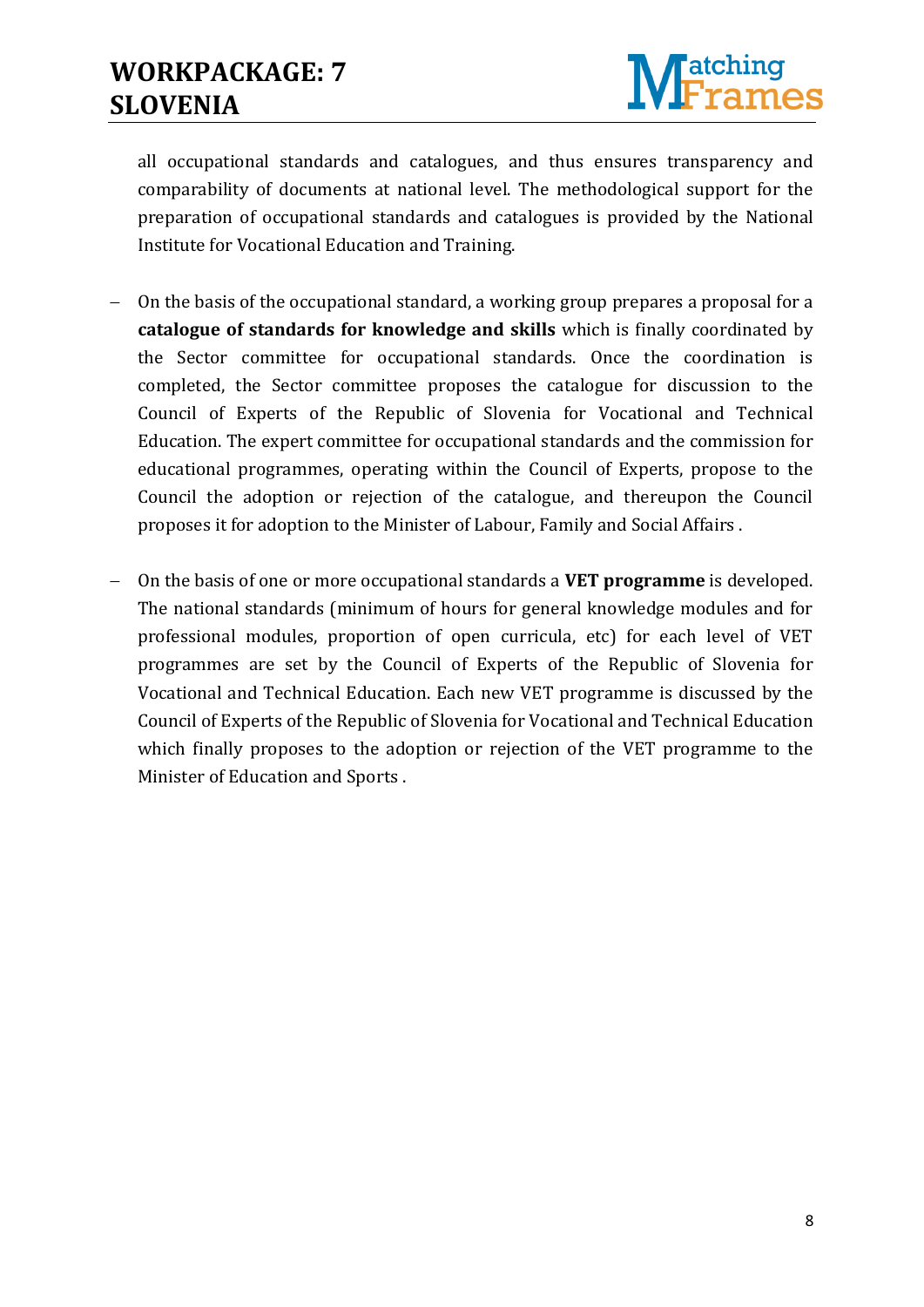

all occupational standards and catalogues, and thus ensures transparency and comparability of documents at national level. The methodological support for the preparation of occupational standards and catalogues is provided by the National Institute for Vocational Education and Training.

- On the basis of the occupational standard, a working group prepares a proposal for a **catalogue of standards for knowledge and skills** which is finally coordinated by the Sector committee for occupational standards. Once the coordination is completed, the Sector committee proposes the catalogue for discussion to the Council of Experts of the Republic of Slovenia for Vocational and Technical Education. The expert committee for occupational standards and the commission for educational programmes, operating within the Council of Experts, propose to the Council the adoption or rejection of the catalogue, and thereupon the Council proposes it for adoption to the Minister of Labour, Family and Social Affairs .
- On the basis of one or more occupational standards a **VET programme** is developed. The national standards (minimum of hours for general knowledge modules and for professional modules, proportion of open curricula, etc) for each level of VET programmes are set by the Council of Experts of the Republic of Slovenia for Vocational and Technical Education. Each new VET programme is discussed by the Council of Experts of the Republic of Slovenia for Vocational and Technical Education which finally proposes to the adoption or rejection of the VET programme to the Minister of Education and Sports .